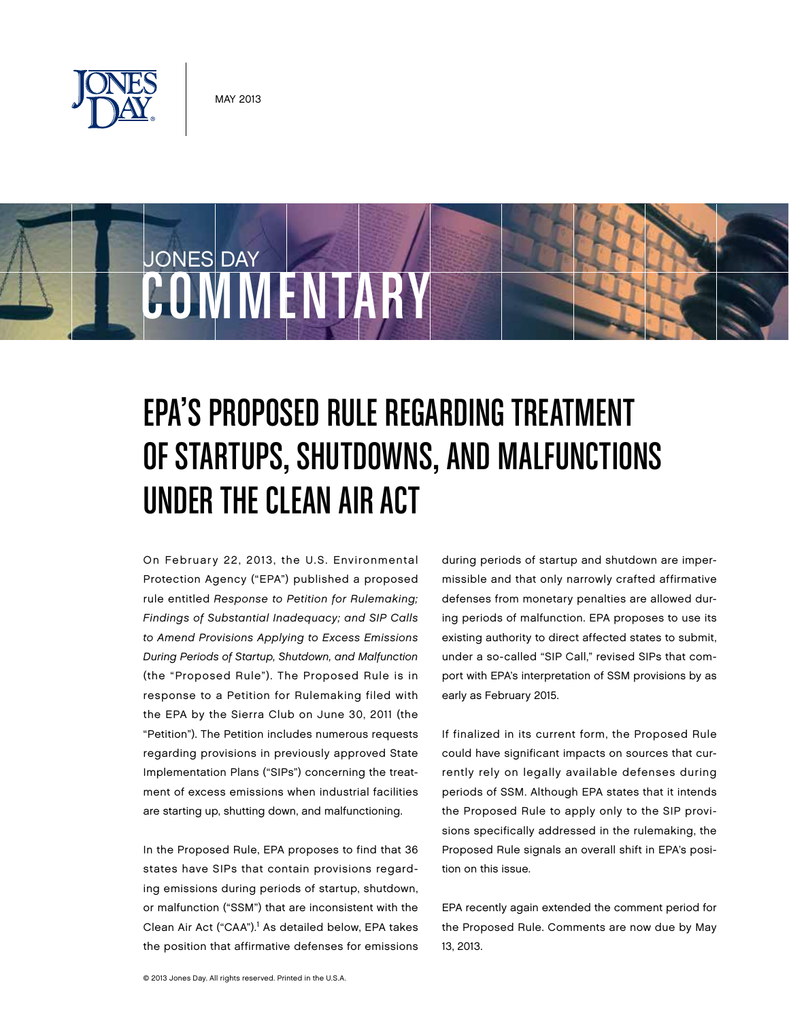

JONES DAY

# COMMENTARY

# EPA'S PROPOSED RULE REGARDING TREATMENT of Startups, Shutdowns, and Malfunctions Under the Clean Air Act

On February 22, 2013, the U.S. Environmental Protection Agency ("EPA") published a proposed rule entitled Response to Petition for Rulemaking; Findings of Substantial Inadequacy; and SIP Calls to Amend Provisions Applying to Excess Emissions During Periods of Startup, Shutdown, and Malfunction (the "Proposed Rule"). The Proposed Rule is in response to a Petition for Rulemaking filed with the EPA by the Sierra Club on June 30, 2011 (the "Petition"). The Petition includes numerous requests regarding provisions in previously approved State Implementation Plans ("SIPs") concerning the treatment of excess emissions when industrial facilities are starting up, shutting down, and malfunctioning.

In the Proposed Rule, EPA proposes to find that 36 states have SIPs that contain provisions regarding emissions during periods of startup, shutdown, or malfunction ("SSM") that are inconsistent with the Clean Air Act ("CAA").<sup>1</sup> As detailed below, EPA takes the position that affirmative defenses for emissions

during periods of startup and shutdown are impermissible and that only narrowly crafted affirmative defenses from monetary penalties are allowed during periods of malfunction. EPA proposes to use its existing authority to direct affected states to submit, under a so-called "SIP Call," revised SIPs that comport with EPA's interpretation of SSM provisions by as early as February 2015.

If finalized in its current form, the Proposed Rule could have significant impacts on sources that currently rely on legally available defenses during periods of SSM. Although EPA states that it intends the Proposed Rule to apply only to the SIP provisions specifically addressed in the rulemaking, the Proposed Rule signals an overall shift in EPA's position on this issue.

EPA recently again extended the comment period for the Proposed Rule. Comments are now due by May 13, 2013.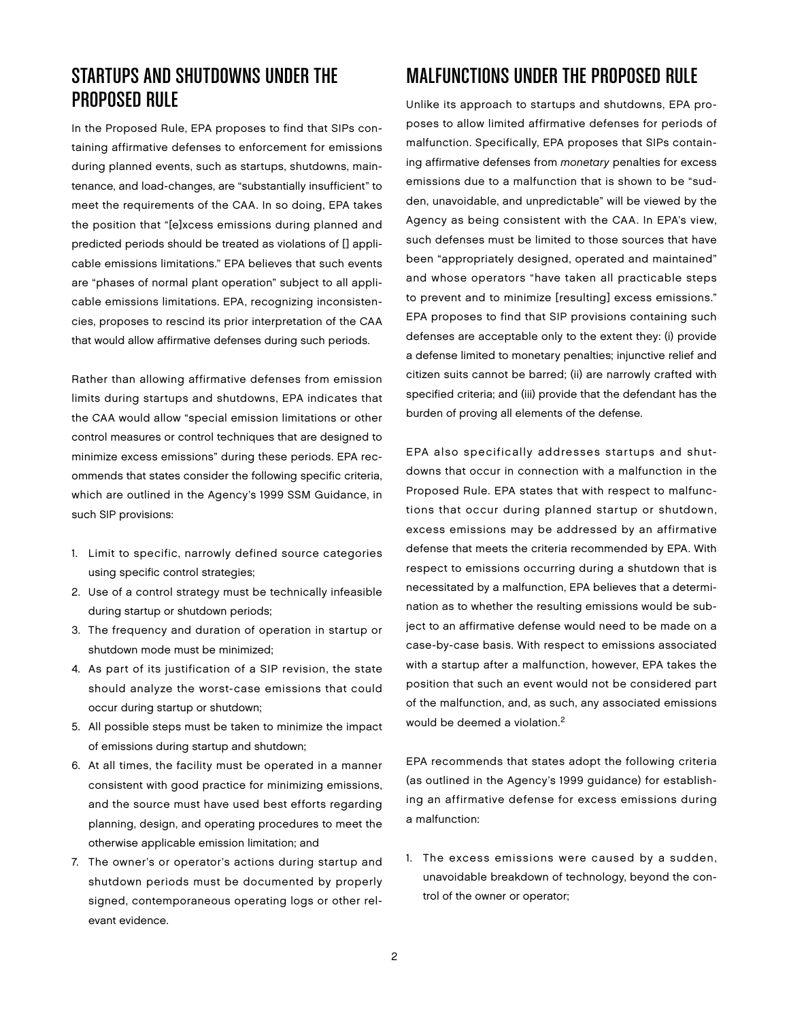# Startups and Shutdowns Under the Proposed Rule

In the Proposed Rule, EPA proposes to find that SIPs containing affirmative defenses to enforcement for emissions during planned events, such as startups, shutdowns, maintenance, and load-changes, are "substantially insufficient" to meet the requirements of the CAA. In so doing, EPA takes the position that "[e]xcess emissions during planned and predicted periods should be treated as violations of [] applicable emissions limitations." EPA believes that such events are "phases of normal plant operation" subject to all applicable emissions limitations. EPA, recognizing inconsistencies, proposes to rescind its prior interpretation of the CAA that would allow affirmative defenses during such periods.

Rather than allowing affirmative defenses from emission limits during startups and shutdowns, EPA indicates that the CAA would allow "special emission limitations or other control measures or control techniques that are designed to minimize excess emissions" during these periods. EPA recommends that states consider the following specific criteria, which are outlined in the Agency's 1999 SSM Guidance, in such SIP provisions:

- 1. Limit to specific, narrowly defined source categories using specific control strategies;
- 2. Use of a control strategy must be technically infeasible during startup or shutdown periods;
- 3. The frequency and duration of operation in startup or shutdown mode must be minimized;
- 4. As part of its justification of a SIP revision, the state should analyze the worst-case emissions that could occur during startup or shutdown;
- 5. All possible steps must be taken to minimize the impact of emissions during startup and shutdown;
- 6. At all times, the facility must be operated in a manner consistent with good practice for minimizing emissions, and the source must have used best efforts regarding planning, design, and operating procedures to meet the otherwise applicable emission limitation; and
- 7. The owner's or operator's actions during startup and shutdown periods must be documented by properly signed, contemporaneous operating logs or other relevant evidence.

# Malfunctions Under the Proposed Rule

Unlike its approach to startups and shutdowns, EPA proposes to allow limited affirmative defenses for periods of malfunction. Specifically, EPA proposes that SIPs containing affirmative defenses from monetary penalties for excess emissions due to a malfunction that is shown to be "sudden, unavoidable, and unpredictable" will be viewed by the Agency as being consistent with the CAA. In EPA's view, such defenses must be limited to those sources that have been "appropriately designed, operated and maintained" and whose operators "have taken all practicable steps to prevent and to minimize [resulting] excess emissions." EPA proposes to find that SIP provisions containing such defenses are acceptable only to the extent they: (i) provide a defense limited to monetary penalties; injunctive relief and citizen suits cannot be barred; (ii) are narrowly crafted with specified criteria; and (iii) provide that the defendant has the burden of proving all elements of the defense.

EPA also specifically addresses startups and shutdowns that occur in connection with a malfunction in the Proposed Rule. EPA states that with respect to malfunctions that occur during planned startup or shutdown, excess emissions may be addressed by an affirmative defense that meets the criteria recommended by EPA. With respect to emissions occurring during a shutdown that is necessitated by a malfunction, EPA believes that a determination as to whether the resulting emissions would be subject to an affirmative defense would need to be made on a case-by-case basis. With respect to emissions associated with a startup after a malfunction, however, EPA takes the position that such an event would not be considered part of the malfunction, and, as such, any associated emissions would be deemed a violation.<sup>2</sup>

EPA recommends that states adopt the following criteria (as outlined in the Agency's 1999 guidance) for establishing an affirmative defense for excess emissions during a malfunction:

1. The excess emissions were caused by a sudden, unavoidable breakdown of technology, beyond the control of the owner or operator;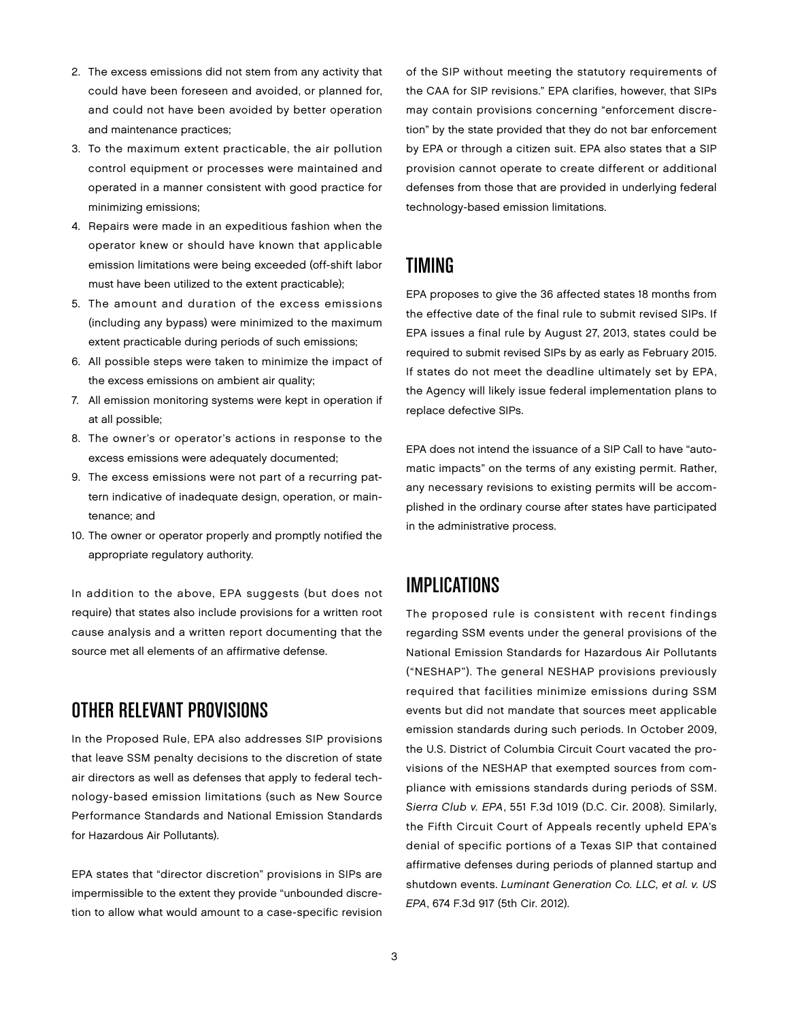- 2. The excess emissions did not stem from any activity that could have been foreseen and avoided, or planned for, and could not have been avoided by better operation and maintenance practices;
- 3. To the maximum extent practicable, the air pollution control equipment or processes were maintained and operated in a manner consistent with good practice for minimizing emissions;
- 4. Repairs were made in an expeditious fashion when the operator knew or should have known that applicable emission limitations were being exceeded (off-shift labor must have been utilized to the extent practicable);
- 5. The amount and duration of the excess emissions (including any bypass) were minimized to the maximum extent practicable during periods of such emissions;
- 6. All possible steps were taken to minimize the impact of the excess emissions on ambient air quality;
- 7. All emission monitoring systems were kept in operation if at all possible;
- 8. The owner's or operator's actions in response to the excess emissions were adequately documented;
- 9. The excess emissions were not part of a recurring pattern indicative of inadequate design, operation, or maintenance; and
- 10. The owner or operator properly and promptly notified the appropriate regulatory authority.

In addition to the above, EPA suggests (but does not require) that states also include provisions for a written root cause analysis and a written report documenting that the source met all elements of an affirmative defense.

# Other Relevant Provisions

In the Proposed Rule, EPA also addresses SIP provisions that leave SSM penalty decisions to the discretion of state air directors as well as defenses that apply to federal technology-based emission limitations (such as New Source Performance Standards and National Emission Standards for Hazardous Air Pollutants).

EPA states that "director discretion" provisions in SIPs are impermissible to the extent they provide "unbounded discretion to allow what would amount to a case-specific revision of the SIP without meeting the statutory requirements of the CAA for SIP revisions." EPA clarifies, however, that SIPs may contain provisions concerning "enforcement discretion" by the state provided that they do not bar enforcement by EPA or through a citizen suit. EPA also states that a SIP provision cannot operate to create different or additional defenses from those that are provided in underlying federal technology-based emission limitations.

#### **TIMING**

EPA proposes to give the 36 affected states 18 months from the effective date of the final rule to submit revised SIPs. If EPA issues a final rule by August 27, 2013, states could be required to submit revised SIPs by as early as February 2015. If states do not meet the deadline ultimately set by EPA, the Agency will likely issue federal implementation plans to replace defective SIPs.

EPA does not intend the issuance of a SIP Call to have "automatic impacts" on the terms of any existing permit. Rather, any necessary revisions to existing permits will be accomplished in the ordinary course after states have participated in the administrative process.

# **IMPLICATIONS**

The proposed rule is consistent with recent findings regarding SSM events under the general provisions of the National Emission Standards for Hazardous Air Pollutants ("NESHAP"). The general NESHAP provisions previously required that facilities minimize emissions during SSM events but did not mandate that sources meet applicable emission standards during such periods. In October 2009, the U.S. District of Columbia Circuit Court vacated the provisions of the NESHAP that exempted sources from compliance with emissions standards during periods of SSM. Sierra Club v. EPA, 551 F.3d 1019 (D.C. Cir. 2008). Similarly, the Fifth Circuit Court of Appeals recently upheld EPA's denial of specific portions of a Texas SIP that contained affirmative defenses during periods of planned startup and shutdown events. Luminant Generation Co. LLC, et al. v. US EPA, 674 F.3d 917 (5th Cir. 2012).